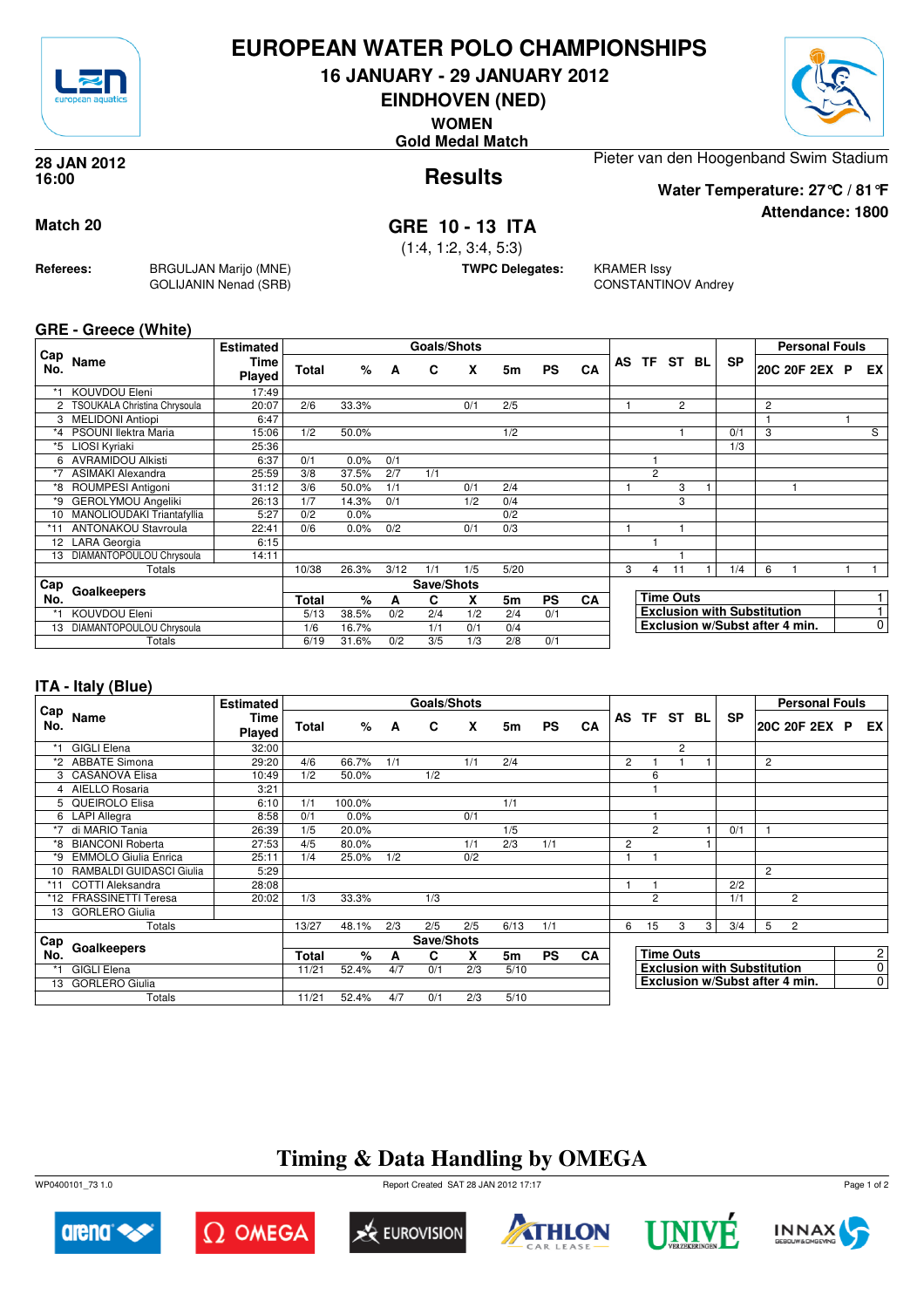

## **EUROPEAN WATER POLO CHAMPIONSHIPS**

**16 JANUARY - 29 JANUARY 2012**

**EINDHOVEN (NED)**

**WOMEN**

**Gold Medal Match**



**Attendance: 1800**

**Results 28 JAN 2012 16:00**

Pieter van den Hoogenband Swim Stadium

**Water Temperature: 27°C / 81°F**

## **Match 20 GRE 10 - 13 ITA**

(1:4, 1:2, 3:4, 5:3)

**TWPC Delegates:** KRAMER Issy

CONSTANTINOV Andrey

**GRE - Greece (White)**

**Referees:** BRGULJAN Marijo (MNE)

GOLIJANIN Nenad (SRB)

| Cap     |                              | <b>Estimated</b> |       |         |      | Goals/Shots |     |                |           |           |           |                                    |                |  |                                |                | <b>Personal Fouls</b> |   |                |
|---------|------------------------------|------------------|-------|---------|------|-------------|-----|----------------|-----------|-----------|-----------|------------------------------------|----------------|--|--------------------------------|----------------|-----------------------|---|----------------|
| No.     | Name                         | Time<br>Played   | Total | %       | A    | C           | X   | 5m             | <b>PS</b> | CA        | <b>AS</b> |                                    | TF ST BL       |  | <b>SP</b>                      |                | 20C 20F 2EX           | P | EX I           |
| *1      | KOUVDOU Eleni                | 17:49            |       |         |      |             |     |                |           |           |           |                                    |                |  |                                |                |                       |   |                |
|         | TSOUKALA Christina Chrysoula | 20:07            | 2/6   | 33.3%   |      |             | 0/1 | 2/5            |           |           |           |                                    | $\overline{c}$ |  |                                | $\overline{c}$ |                       |   |                |
|         | <b>MELIDONI Antiopi</b>      | 6:47             |       |         |      |             |     |                |           |           |           |                                    |                |  |                                |                |                       |   |                |
| $*_{4}$ | PSOUNI llektra Maria         | 15:06            | 1/2   | 50.0%   |      |             |     | 1/2            |           |           |           |                                    |                |  | 0/1                            | 3              |                       |   | S              |
| *5      | LIOSI Kyriaki                | 25:36            |       |         |      |             |     |                |           |           |           |                                    |                |  | 1/3                            |                |                       |   |                |
| 6       | <b>AVRAMIDOU Alkisti</b>     | 6:37             | 0/1   | 0.0%    | 0/1  |             |     |                |           |           |           |                                    |                |  |                                |                |                       |   |                |
| $*7$    | <b>ASIMAKI Alexandra</b>     | 25:59            | 3/8   | 37.5%   | 2/7  | 1/1         |     |                |           |           |           | $\overline{c}$                     |                |  |                                |                |                       |   |                |
| *8      | ROUMPESI Antigoni            | 31:12            | 3/6   | 50.0%   | 1/1  |             | 0/1 | 2/4            |           |           |           |                                    | 3              |  |                                |                |                       |   |                |
| *9      | <b>GEROLYMOU Angeliki</b>    | 26:13            | 1/7   | 14.3%   | 0/1  |             | 1/2 | 0/4            |           |           |           |                                    | 3              |  |                                |                |                       |   |                |
| 10      | MANOLIOUDAKI Triantafyllia   | 5:27             | 0/2   | 0.0%    |      |             |     | 0/2            |           |           |           |                                    |                |  |                                |                |                       |   |                |
| $*11$   | <b>ANTONAKOU Stavroula</b>   | 22:41            | 0/6   | $0.0\%$ | 0/2  |             | 0/1 | 0/3            |           |           |           |                                    |                |  |                                |                |                       |   |                |
| 12      | <b>LARA</b> Georgia          | 6:15             |       |         |      |             |     |                |           |           |           |                                    |                |  |                                |                |                       |   |                |
| 13      | DIAMANTOPOULOU Chrysoula     | 14:11            |       |         |      |             |     |                |           |           |           |                                    |                |  |                                |                |                       |   |                |
|         | Totals                       |                  | 10/38 | 26.3%   | 3/12 | 1/1         | 1/5 | 5/20           |           |           | 3         | 4                                  | 11             |  | 1/4                            | 6              |                       |   |                |
| Cap     |                              |                  |       |         |      | Save/Shots  |     |                |           |           |           |                                    |                |  |                                |                |                       |   |                |
| No.     | Goalkeepers                  |                  | Total | %       | А    | C           | x   | 5 <sub>m</sub> | <b>PS</b> | <b>CA</b> |           | <b>Time Outs</b>                   |                |  |                                |                |                       |   |                |
| *1      | KOUVDOU Eleni                |                  | 5/13  | 38.5%   | 0/2  | 2/4         | 1/2 | 2/4            | 0/1       |           |           | <b>Exclusion with Substitution</b> |                |  |                                |                |                       |   |                |
| 13      | DIAMANTOPOULOU Chrysoula     |                  | 1/6   | 16.7%   |      | 1/1         | 0/1 | 0/4            |           |           |           |                                    |                |  | Exclusion w/Subst after 4 min. |                |                       |   | $\overline{0}$ |
|         | Totals                       |                  | 6/19  | 31.6%   | 0/2  | 3/5         | 1/3 | 2/8            | 0/1       |           |           |                                    |                |  |                                |                |                       |   |                |

### **ITA - Italy (Blue)**

|            |                             | <b>Estimated</b> |              |        |     | Goals/Shots |     |      |           |           |                |                                    |             |   |           |                | <b>Personal Fouls</b>          |                |                |
|------------|-----------------------------|------------------|--------------|--------|-----|-------------|-----|------|-----------|-----------|----------------|------------------------------------|-------------|---|-----------|----------------|--------------------------------|----------------|----------------|
| Cap<br>No. | Name                        | Time<br>Played   | <b>Total</b> | %      | A   | C           | X   | 5m   | <b>PS</b> | CA        |                |                                    | AS TF ST BL |   | <b>SP</b> |                | 20C 20F 2EX P                  |                | EX I           |
|            | <b>GIGLI Elena</b>          | 32:00            |              |        |     |             |     |      |           |           |                |                                    | 2           |   |           |                |                                |                |                |
|            | *2 ABBATE Simona            | 29:20            | 4/6          | 66.7%  | 1/1 |             | 1/1 | 2/4  |           |           | $\overline{2}$ |                                    |             |   |           | $\overline{2}$ |                                |                |                |
|            | 3 CASANOVA Elisa            | 10:49            | 1/2          | 50.0%  |     | 1/2         |     |      |           |           |                | 6                                  |             |   |           |                |                                |                |                |
|            | 4 AIELLO Rosaria            | 3:21             |              |        |     |             |     |      |           |           |                |                                    |             |   |           |                |                                |                |                |
|            | 5 QUEIROLO Elisa            | 6:10             | 1/1          | 100.0% |     |             |     | 1/1  |           |           |                |                                    |             |   |           |                |                                |                |                |
|            | 6 LAPI Allegra              | 8:58             | 0/1          | 0.0%   |     |             | 0/1 |      |           |           |                |                                    |             |   |           |                |                                |                |                |
| $*7$       | di MARIO Tania              | 26:39            | 1/5          | 20.0%  |     |             |     | 1/5  |           |           |                | $\overline{2}$                     |             |   | 0/1       |                |                                |                |                |
|            | *8 BIANCONI Roberta         | 27:53            | 4/5          | 80.0%  |     |             | 1/1 | 2/3  | 1/1       |           | $\overline{c}$ |                                    |             |   |           |                |                                |                |                |
| *9         | <b>EMMOLO Giulia Enrica</b> | 25:11            | 1/4          | 25.0%  | 1/2 |             | 0/2 |      |           |           |                |                                    |             |   |           |                |                                |                |                |
|            | 10 RAMBALDI GUIDASCI Giulia | 5:29             |              |        |     |             |     |      |           |           |                |                                    |             |   |           | $\overline{2}$ |                                |                |                |
| $*11$      | <b>COTTI Aleksandra</b>     | 28:08            |              |        |     |             |     |      |           |           |                |                                    |             |   | 2/2       |                |                                |                |                |
|            | *12 FRASSINETTI Teresa      | 20:02            | 1/3          | 33.3%  |     | 1/3         |     |      |           |           |                | $\overline{2}$                     |             |   | 1/1       |                | 2                              |                |                |
| 13         | <b>GORLERO Giulia</b>       |                  |              |        |     |             |     |      |           |           |                |                                    |             |   |           |                |                                |                |                |
|            | Totals                      |                  | 13/27        | 48.1%  | 2/3 | 2/5         | 2/5 | 6/13 | 1/1       |           | 6              | 15                                 | 3           | 3 | 3/4       | 5              | $\overline{2}$                 |                |                |
| <b>Cap</b> |                             |                  |              |        |     | Save/Shots  |     |      |           |           |                |                                    |             |   |           |                |                                |                |                |
| No.        | Goalkeepers                 |                  |              | $\%$   | A   | C           | X   | 5m   | <b>PS</b> | <b>CA</b> |                | <b>Time Outs</b>                   |             |   |           |                |                                |                | $\mathbf{2}$   |
| *1         | <b>GIGLI Elena</b>          |                  | 11/21        | 52.4%  | 4/7 | 0/1         | 2/3 | 5/10 |           |           |                | <b>Exclusion with Substitution</b> |             |   |           |                |                                | $\overline{0}$ |                |
|            | 13 GORLERO Giulia           |                  |              |        |     |             |     |      |           |           |                |                                    |             |   |           |                | Exclusion w/Subst after 4 min. |                | $\overline{0}$ |
|            | Totals                      |                  | 11/21        | 52.4%  | 4/7 | 0/1         | 2/3 | 5/10 |           |           |                |                                    |             |   |           |                |                                |                |                |

# **Timing & Data Handling by OMEGA**



 $\Omega$  Omega









Page 1 of 2

WP0400101\_73 1.0 Report Created SAT 28 JAN 2012 17:17